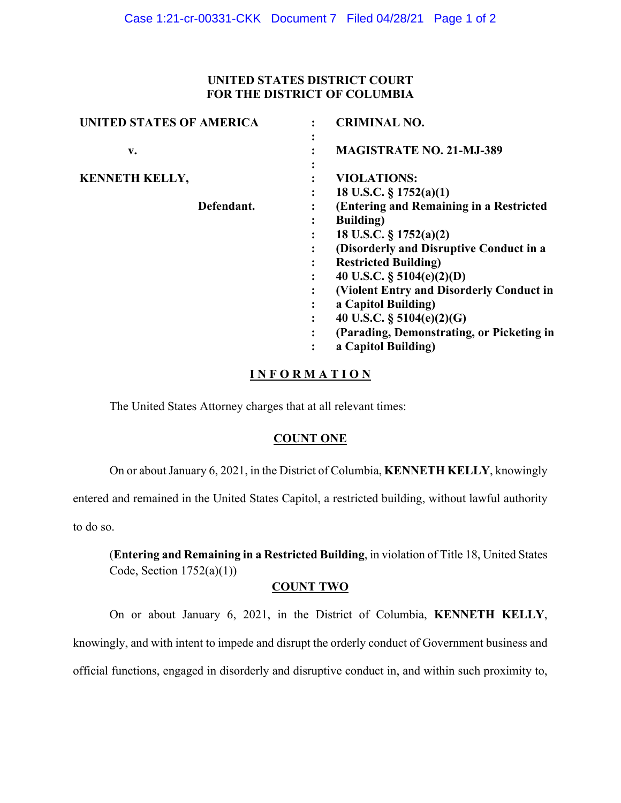### **UNITED STATES DISTRICT COURT FOR THE DISTRICT OF COLUMBIA**

| <b>CRIMINAL NO.</b>                       |
|-------------------------------------------|
| <b>MAGISTRATE NO. 21-MJ-389</b>           |
| <b>VIOLATIONS:</b>                        |
| 18 U.S.C. $\S 1752(a)(1)$                 |
| (Entering and Remaining in a Restricted   |
| <b>Building</b> )                         |
| 18 U.S.C. § 1752(a)(2)                    |
| (Disorderly and Disruptive Conduct in a   |
| <b>Restricted Building)</b>               |
| 40 U.S.C. $\S$ 5104(e)(2)(D)              |
| (Violent Entry and Disorderly Conduct in  |
| a Capitol Building)                       |
| 40 U.S.C. $\S$ 5104(e)(2)(G)              |
| (Parading, Demonstrating, or Picketing in |
| a Capitol Building)                       |
|                                           |

# **I N F O R M A T I O N**

The United States Attorney charges that at all relevant times:

#### **COUNT ONE**

On or about January 6, 2021, in the District of Columbia, **KENNETH KELLY**, knowingly

entered and remained in the United States Capitol, a restricted building, without lawful authority to do so.

(**Entering and Remaining in a Restricted Building**, in violation of Title 18, United States Code, Section  $1752(a)(1)$ )

#### **COUNT TWO**

On or about January 6, 2021, in the District of Columbia, **KENNETH KELLY**, knowingly, and with intent to impede and disrupt the orderly conduct of Government business and official functions, engaged in disorderly and disruptive conduct in, and within such proximity to,